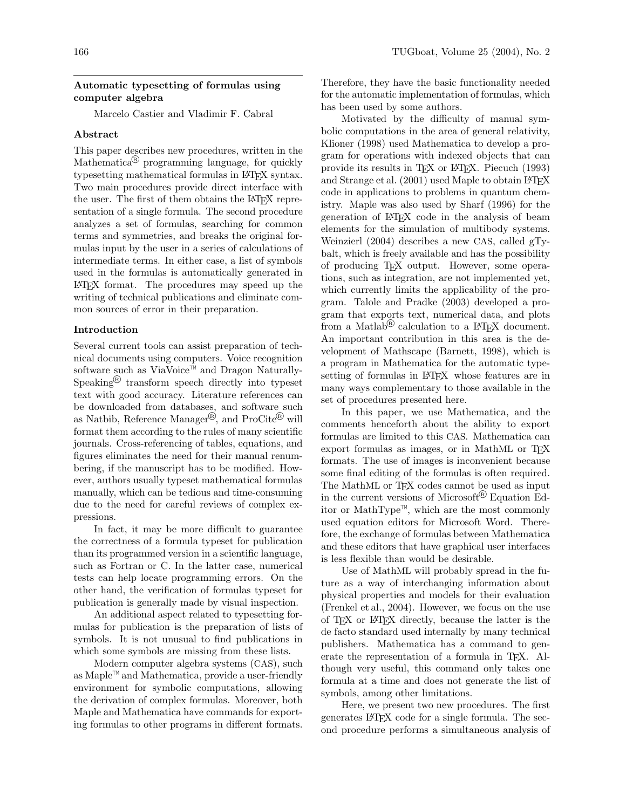### Automatic typesetting of formulas using computer algebra

Marcelo Castier and Vladimir F. Cabral

## Abstract

This paper describes new procedures, written in the Mathematica<sup>®</sup> programming language, for quickly typesetting mathematical formulas in LATEX syntax. Two main procedures provide direct interface with the user. The first of them obtains the LAT<sub>EX</sub> representation of a single formula. The second procedure analyzes a set of formulas, searching for common terms and symmetries, and breaks the original formulas input by the user in a series of calculations of intermediate terms. In either case, a list of symbols used in the formulas is automatically generated in LATEX format. The procedures may speed up the writing of technical publications and eliminate common sources of error in their preparation.

## Introduction

Several current tools can assist preparation of technical documents using computers. Voice recognition software such as ViaVoice™ and Dragon Naturally-Speaking<sup>®</sup> transform speech directly into typeset text with good accuracy. Literature references can be downloaded from databases, and software such as Natbib, Reference Manager<sup>®</sup>, and ProCite<sup>®</sup> will format them according to the rules of many scientific journals. Cross-referencing of tables, equations, and figures eliminates the need for their manual renumbering, if the manuscript has to be modified. However, authors usually typeset mathematical formulas manually, which can be tedious and time-consuming due to the need for careful reviews of complex expressions.

In fact, it may be more difficult to guarantee the correctness of a formula typeset for publication than its programmed version in a scientific language, such as Fortran or C. In the latter case, numerical tests can help locate programming errors. On the other hand, the verification of formulas typeset for publication is generally made by visual inspection.

An additional aspect related to typesetting formulas for publication is the preparation of lists of symbols. It is not unusual to find publications in which some symbols are missing from these lists.

Modern computer algebra systems (CAS), such as Maple™ and Mathematica, provide a user-friendly environment for symbolic computations, allowing the derivation of complex formulas. Moreover, both Maple and Mathematica have commands for exporting formulas to other programs in different formats.

Therefore, they have the basic functionality needed for the automatic implementation of formulas, which has been used by some authors.

Motivated by the difficulty of manual symbolic computations in the area of general relativity, Klioner (1998) used Mathematica to develop a program for operations with indexed objects that can provide its results in TEX or LATEX. Piecuch (1993) and Strange et al. (2001) used Maple to obtain LATEX code in applications to problems in quantum chemistry. Maple was also used by Sharf (1996) for the generation of LATEX code in the analysis of beam elements for the simulation of multibody systems. Weinzierl (2004) describes a new CAS, called gTybalt, which is freely available and has the possibility of producing TEX output. However, some operations, such as integration, are not implemented yet, which currently limits the applicability of the program. Talole and Pradke (2003) developed a program that exports text, numerical data, and plots from a Matlab<sup>®</sup> calculation to a L<sup>AT</sup>EX document. An important contribution in this area is the development of Mathscape (Barnett, 1998), which is a program in Mathematica for the automatic typesetting of formulas in LATEX whose features are in many ways complementary to those available in the set of procedures presented here.

In this paper, we use Mathematica, and the comments henceforth about the ability to export formulas are limited to this CAS. Mathematica can export formulas as images, or in MathML or TFX formats. The use of images is inconvenient because some final editing of the formulas is often required. The MathML or T<sub>F</sub>X codes cannot be used as input in the current versions of Microsoft<sup>®</sup> Equation Editor or MathType™, which are the most commonly used equation editors for Microsoft Word. Therefore, the exchange of formulas between Mathematica and these editors that have graphical user interfaces is less flexible than would be desirable.

Use of MathML will probably spread in the future as a way of interchanging information about physical properties and models for their evaluation (Frenkel et al., 2004). However, we focus on the use of TEX or LATEX directly, because the latter is the de facto standard used internally by many technical publishers. Mathematica has a command to generate the representation of a formula in T<sub>E</sub>X. Although very useful, this command only takes one formula at a time and does not generate the list of symbols, among other limitations.

Here, we present two new procedures. The first generates LATEX code for a single formula. The second procedure performs a simultaneous analysis of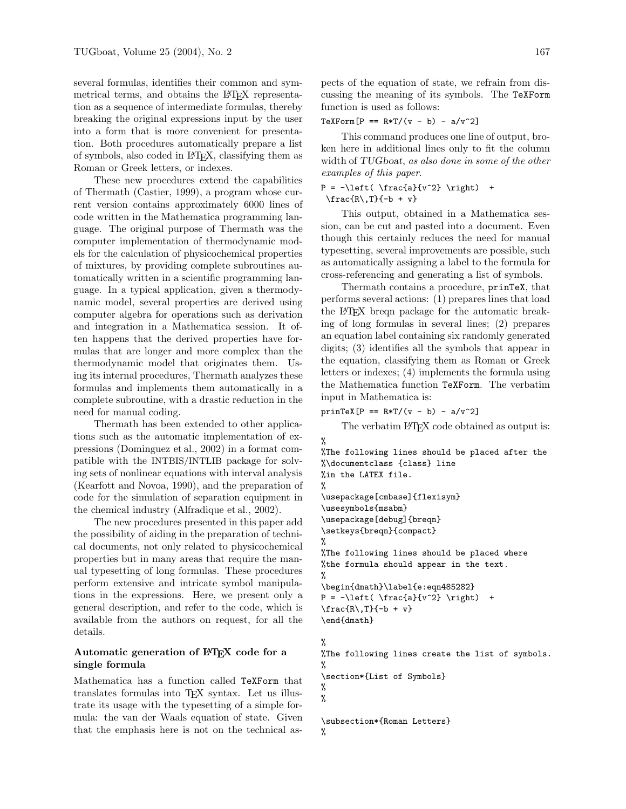several formulas, identifies their common and symmetrical terms, and obtains the L<sup>AT</sup>FX representation as a sequence of intermediate formulas, thereby breaking the original expressions input by the user into a form that is more convenient for presentation. Both procedures automatically prepare a list of symbols, also coded in LATEX, classifying them as Roman or Greek letters, or indexes.

These new procedures extend the capabilities of Thermath (Castier, 1999), a program whose current version contains approximately 6000 lines of code written in the Mathematica programming language. The original purpose of Thermath was the computer implementation of thermodynamic models for the calculation of physicochemical properties of mixtures, by providing complete subroutines automatically written in a scientific programming language. In a typical application, given a thermodynamic model, several properties are derived using computer algebra for operations such as derivation and integration in a Mathematica session. It often happens that the derived properties have formulas that are longer and more complex than the thermodynamic model that originates them. Using its internal procedures, Thermath analyzes these formulas and implements them automatically in a complete subroutine, with a drastic reduction in the need for manual coding.

Thermath has been extended to other applications such as the automatic implementation of expressions (Dominguez et al., 2002) in a format compatible with the INTBIS/INTLIB package for solving sets of nonlinear equations with interval analysis (Kearfott and Novoa, 1990), and the preparation of code for the simulation of separation equipment in the chemical industry (Alfradique et al., 2002).

The new procedures presented in this paper add the possibility of aiding in the preparation of technical documents, not only related to physicochemical properties but in many areas that require the manual typesetting of long formulas. These procedures perform extensive and intricate symbol manipulations in the expressions. Here, we present only a general description, and refer to the code, which is available from the authors on request, for all the details.

# Automatic generation of IATEX code for a single formula

Mathematica has a function called TeXForm that translates formulas into TEX syntax. Let us illustrate its usage with the typesetting of a simple formula: the van der Waals equation of state. Given that the emphasis here is not on the technical aspects of the equation of state, we refrain from discussing the meaning of its symbols. The TeXForm function is used as follows:

 $TeXForm[P == R*T/(v - b) - a/v^2]$ 

This command produces one line of output, broken here in additional lines only to fit the column width of TUGboat, as also done in some of the other examples of this paper.

```
P = -\left( \frac{a}{v^2} \right) +\frac{R\1}{-b + v}
```
This output, obtained in a Mathematica session, can be cut and pasted into a document. Even though this certainly reduces the need for manual typesetting, several improvements are possible, such as automatically assigning a label to the formula for cross-referencing and generating a list of symbols.

Thermath contains a procedure, prinTeX, that performs several actions: (1) prepares lines that load the LATEX breqn package for the automatic breaking of long formulas in several lines; (2) prepares an equation label containing six randomly generated digits; (3) identifies all the symbols that appear in the equation, classifying them as Roman or Greek letters or indexes; (4) implements the formula using the Mathematica function TeXForm. The verbatim input in Mathematica is:

 $prinText[P == R*T/(v - b) - a/v^2]$ 

The verbatim LAT<sub>EX</sub> code obtained as output is:

```
%
%The following lines should be placed after the
%\documentclass {class} line
%in the LATEX file.
%
\usepackage[cmbase]{flexisym}
\usesymbols{msabm}
\usepackage[debug]{breqn}
\setkeys{breqn}{compact}
%
%The following lines should be placed where
%the formula should appear in the text.
%
\begin{dmath}\label{e:eqn485282}
P = -\left( \frac{a}{v^2} \right) +\frac{R\,T}{-b + v}\end{dmath}
%
%The following lines create the list of symbols.
%
\section*{List of Symbols}
%
%
\subsection*{Roman Letters}
%
```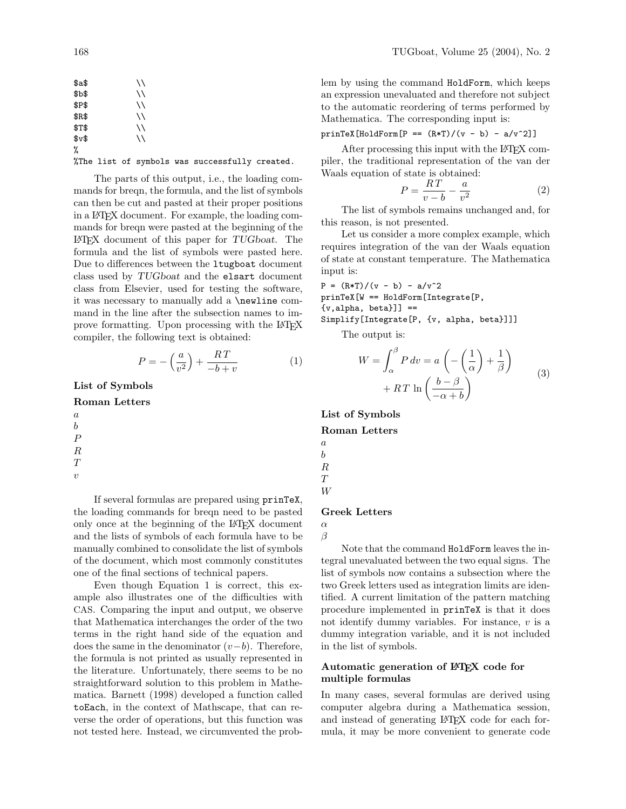| $a$ \$ | \\ |  |  |
|--------|----|--|--|
| \$Ъ\$  | \\ |  |  |
| \$P\$  | \\ |  |  |
| \$R\$  | \\ |  |  |
| \$T\$  | \\ |  |  |
| $v$ \$ | \\ |  |  |
| %      |    |  |  |

%The list of symbols was successfully created.

The parts of this output, i.e., the loading commands for breqn, the formula, and the list of symbols can then be cut and pasted at their proper positions in a LATEX document. For example, the loading commands for breqn were pasted at the beginning of the LATEX document of this paper for TUGboat. The formula and the list of symbols were pasted here. Due to differences between the ltugboat document class used by TUGboat and the elsart document class from Elsevier, used for testing the software, it was necessary to manually add a \newline command in the line after the subsection names to improve formatting. Upon processing with the LATEX compiler, the following text is obtained:

$$
P = -\left(\frac{a}{v^2}\right) + \frac{RT}{-b+v} \tag{1}
$$

List of Symbols

Roman Letters

a b P R T

 $\boldsymbol{v}$ 

If several formulas are prepared using prinTeX, the loading commands for breqn need to be pasted only once at the beginning of the L<sup>AT</sup>EX document and the lists of symbols of each formula have to be manually combined to consolidate the list of symbols of the document, which most commonly constitutes one of the final sections of technical papers.

Even though Equation 1 is correct, this example also illustrates one of the difficulties with CAS. Comparing the input and output, we observe that Mathematica interchanges the order of the two terms in the right hand side of the equation and does the same in the denominator  $(v-b)$ . Therefore, the formula is not printed as usually represented in the literature. Unfortunately, there seems to be no straightforward solution to this problem in Mathematica. Barnett (1998) developed a function called toEach, in the context of Mathscape, that can reverse the order of operations, but this function was not tested here. Instead, we circumvented the problem by using the command HoldForm, which keeps an expression unevaluated and therefore not subject to the automatic reordering of terms performed by Mathematica. The corresponding input is:

$$
prinText[HoldForm[P == (R*T)/(v - b) - a/v^2]]
$$

After processing this input with the L<sup>AT</sup>EX compiler, the traditional representation of the van der Waals equation of state is obtained:

$$
P = \frac{RT}{v - b} - \frac{a}{v^2} \tag{2}
$$

The list of symbols remains unchanged and, for this reason, is not presented.

Let us consider a more complex example, which requires integration of the van der Waals equation of state at constant temperature. The Mathematica input is:

 $P = (R*T)/(v - b) - a/v^2$ prinTeX[W == HoldForm[Integrate[P,  ${v, alpha, beta}$ ]] == Simplify[Integrate[P, {v, alpha, beta}]]]

The output is:

$$
W = \int_{\alpha}^{\beta} P dv = a \left( -\left(\frac{1}{\alpha}\right) + \frac{1}{\beta} \right)
$$

$$
+ RT \ln \left( \frac{b - \beta}{-\alpha + b} \right)
$$
(3)

List of Symbols

Roman Letters

a b R T

W

## Greek Letters

α β

Note that the command HoldForm leaves the integral unevaluated between the two equal signs. The list of symbols now contains a subsection where the two Greek letters used as integration limits are identified. A current limitation of the pattern matching procedure implemented in prinTeX is that it does not identify dummy variables. For instance,  $v$  is a dummy integration variable, and it is not included in the list of symbols.

## Automatic generation of LAT<sub>EX</sub> code for multiple formulas

In many cases, several formulas are derived using computer algebra during a Mathematica session, and instead of generating LAT<sub>EX</sub> code for each formula, it may be more convenient to generate code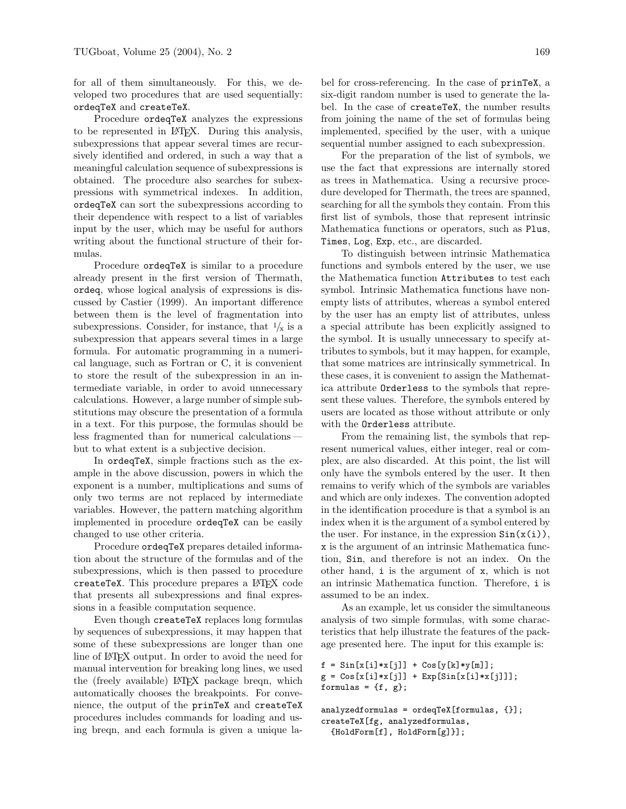for all of them simultaneously. For this, we developed two procedures that are used sequentially: ordeqTeX and createTeX.

Procedure ordeqTeX analyzes the expressions to be represented in LATEX. During this analysis, subexpressions that appear several times are recursively identified and ordered, in such a way that a meaningful calculation sequence of subexpressions is obtained. The procedure also searches for subexpressions with symmetrical indexes. In addition, ordeqTeX can sort the subexpressions according to their dependence with respect to a list of variables input by the user, which may be useful for authors writing about the functional structure of their formulas.

Procedure ordeqTeX is similar to a procedure already present in the first version of Thermath, ordeq, whose logical analysis of expressions is discussed by Castier (1999). An important difference between them is the level of fragmentation into subexpressions. Consider, for instance, that  $\frac{1}{x}$  is a subexpression that appears several times in a large formula. For automatic programming in a numerical language, such as Fortran or C, it is convenient to store the result of the subexpression in an intermediate variable, in order to avoid unnecessary calculations. However, a large number of simple substitutions may obscure the presentation of a formula in a text. For this purpose, the formulas should be less fragmented than for numerical calculations but to what extent is a subjective decision.

In ordeqTeX, simple fractions such as the example in the above discussion, powers in which the exponent is a number, multiplications and sums of only two terms are not replaced by intermediate variables. However, the pattern matching algorithm implemented in procedure ordeqTeX can be easily changed to use other criteria.

Procedure ordeqTeX prepares detailed information about the structure of the formulas and of the subexpressions, which is then passed to procedure createTeX. This procedure prepares a LATEX code that presents all subexpressions and final expressions in a feasible computation sequence.

Even though createTeX replaces long formulas by sequences of subexpressions, it may happen that some of these subexpressions are longer than one line of LATEX output. In order to avoid the need for manual intervention for breaking long lines, we used the (freely available) LAT<sub>EX</sub> package breqn, which automatically chooses the breakpoints. For convenience, the output of the prinTeX and createTeX procedures includes commands for loading and using breqn, and each formula is given a unique label for cross-referencing. In the case of prinTeX, a six-digit random number is used to generate the label. In the case of createTeX, the number results from joining the name of the set of formulas being implemented, specified by the user, with a unique sequential number assigned to each subexpression.

For the preparation of the list of symbols, we use the fact that expressions are internally stored as trees in Mathematica. Using a recursive procedure developed for Thermath, the trees are spanned, searching for all the symbols they contain. From this first list of symbols, those that represent intrinsic Mathematica functions or operators, such as Plus, Times, Log, Exp, etc., are discarded.

To distinguish between intrinsic Mathematica functions and symbols entered by the user, we use the Mathematica function Attributes to test each symbol. Intrinsic Mathematica functions have nonempty lists of attributes, whereas a symbol entered by the user has an empty list of attributes, unless a special attribute has been explicitly assigned to the symbol. It is usually unnecessary to specify attributes to symbols, but it may happen, for example, that some matrices are intrinsically symmetrical. In these cases, it is convenient to assign the Mathematica attribute Orderless to the symbols that represent these values. Therefore, the symbols entered by users are located as those without attribute or only with the Orderless attribute.

From the remaining list, the symbols that represent numerical values, either integer, real or complex, are also discarded. At this point, the list will only have the symbols entered by the user. It then remains to verify which of the symbols are variables and which are only indexes. The convention adopted in the identification procedure is that a symbol is an index when it is the argument of a symbol entered by the user. For instance, in the expression  $Sin(x(i))$ , x is the argument of an intrinsic Mathematica function, Sin, and therefore is not an index. On the other hand, i is the argument of x, which is not an intrinsic Mathematica function. Therefore, i is assumed to be an index.

As an example, let us consider the simultaneous analysis of two simple formulas, with some characteristics that help illustrate the features of the package presented here. The input for this example is:

```
f = \sin[x[i]*x[j]] + \cos[y[k]*y[m]];g = \cos[x[i]*x[j]] + Exp[\sin[x[i]*x[j]]];formulas = \{f, g\};
```

```
analyzedformulas = orderEx[formulas, {}];
createTeX[fg, analyzedformulas,
  {HoldForm[f], HoldForm[g]}];
```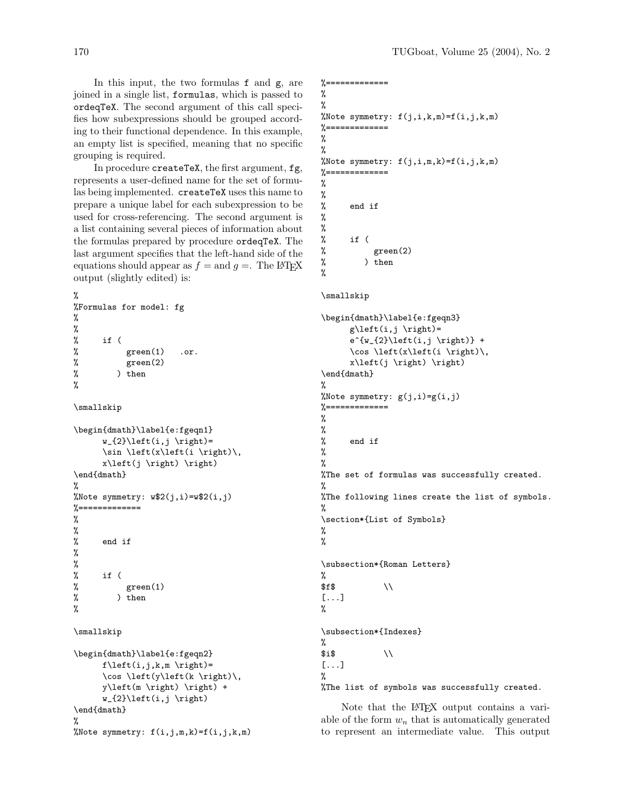In this input, the two formulas f and g, are joined in a single list, formulas, which is passed to ordeqTeX. The second argument of this call specifies how subexpressions should be grouped according to their functional dependence. In this example, an empty list is specified, meaning that no specific grouping is required.

In procedure createTeX, the first argument, fg, represents a user-defined name for the set of formulas being implemented. createTeX uses this name to prepare a unique label for each subexpression to be used for cross-referencing. The second argument is a list containing several pieces of information about the formulas prepared by procedure ordeqTeX. The last argument specifies that the left-hand side of the equations should appear as  $f =$  and  $q =$ . The LAT<sub>EX</sub> output (slightly edited) is:

```
%
%Formulas for model: fg
%
%
% if (
% green(1) .or.
% green(2)
% ) then
```

```
\smallskip
```
%

```
\begin{dmath}\label{e:fgeqn1}
       w_{2}\left(i,j \rightarrow w_{2}\right)\sin \left(x\left(i \right)\,
       x\left(j \right) \right)
\end{dmath}
%
%Note symmetry: w$2(j,i)=w$2(i,j)
\frac{9}{6} = = = = = = = = = = = = = =
```

```
%
%
% end if
%
%
% if (
% green(1)
% ) then
```

```
\smallskip
```
%

```
\begin{dmath}\label{e:fgeqn2}
      f\left(\iota,j,k,m \right)=
      \cos \left(y\left(k \right)\,
      y\left(m \right) \right) +
      w_{2}\left(i,j \right)
\end{dmath}
%
%Note symmetry: f(i,j,m,k)=f(i,j,k,m)
```

```
%=============
%
%
%Note symmetry: f(j,i,k,m)=f(i,j,k,m)
\% =============
%
%
%Note symmetry: f(j,i,m,k)=f(i,j,k,m)%=============
%
%
% end if
%
%
% if (
% green(2)
% ) then
%
\smallskip
\begin{dmath}\label{e:fgeqn3}
      g\left(\iint j \rightarrow \right)e^{\w_{2}\left(i,j \right)} +\cos \left(x\left(i \right)\,
      x\left(j \right) \right)
\end{dmath}
%
%Note symmetry: g(j,i)=g(i,j)%=============
%
%
% end if
%
%
%The set of formulas was successfully created.
%
%The following lines create the list of symbols.
%
\section*{List of Symbols}
%
%
\subsection*{Roman Letters}
%
$f$ \\
[...]
%
\subsection*{Indexes}
%
$i$ \setminus[...]
%
```
%The list of symbols was successfully created.

Note that the LAT<sub>EX</sub> output contains a variable of the form  $w_n$  that is automatically generated to represent an intermediate value. This output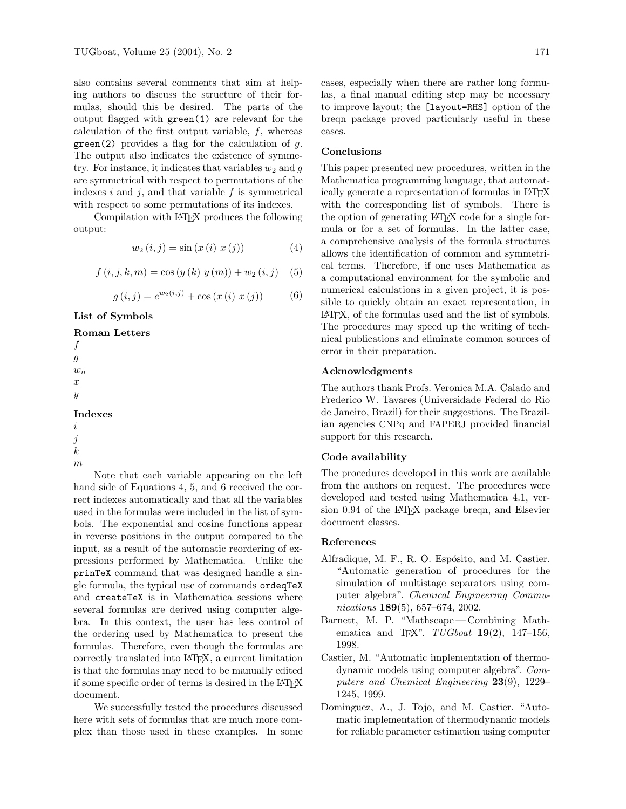also contains several comments that aim at helping authors to discuss the structure of their formulas, should this be desired. The parts of the output flagged with green(1) are relevant for the calculation of the first output variable, f, whereas  $green(2)$  provides a flag for the calculation of  $g$ . The output also indicates the existence of symmetry. For instance, it indicates that variables  $w_2$  and  $g$ are symmetrical with respect to permutations of the indexes  $i$  and  $j$ , and that variable  $f$  is symmetrical with respect to some permutations of its indexes.

Compilation with LATEX produces the following output:

$$
w_2(i,j) = \sin(x(i) \ x(j)) \tag{4}
$$

$$
f(i, j, k, m) = \cos(y(k) y(m)) + w_2(i, j) \quad (5)
$$

$$
g(i, j) = e^{w_2(i, j)} + \cos(x(i) \ x(j)) \tag{6}
$$

List of Symbols

#### Roman Letters

f  $\ensuremath{g}$  $w_n$ x  $\boldsymbol{y}$ 

## Indexes

i j k

m

Note that each variable appearing on the left hand side of Equations 4, 5, and 6 received the correct indexes automatically and that all the variables used in the formulas were included in the list of symbols. The exponential and cosine functions appear in reverse positions in the output compared to the input, as a result of the automatic reordering of expressions performed by Mathematica. Unlike the prinTeX command that was designed handle a single formula, the typical use of commands ordeqTeX and createTeX is in Mathematica sessions where several formulas are derived using computer algebra. In this context, the user has less control of the ordering used by Mathematica to present the formulas. Therefore, even though the formulas are correctly translated into LATEX, a current limitation is that the formulas may need to be manually edited if some specific order of terms is desired in the LATEX document.

We successfully tested the procedures discussed here with sets of formulas that are much more complex than those used in these examples. In some cases, especially when there are rather long formulas, a final manual editing step may be necessary to improve layout; the [layout=RHS] option of the breqn package proved particularly useful in these cases.

## Conclusions

This paper presented new procedures, written in the Mathematica programming language, that automatically generate a representation of formulas in LAT<sub>EX</sub> with the corresponding list of symbols. There is the option of generating LATEX code for a single formula or for a set of formulas. In the latter case, a comprehensive analysis of the formula structures allows the identification of common and symmetrical terms. Therefore, if one uses Mathematica as a computational environment for the symbolic and numerical calculations in a given project, it is possible to quickly obtain an exact representation, in LATEX, of the formulas used and the list of symbols. The procedures may speed up the writing of technical publications and eliminate common sources of error in their preparation.

### Acknowledgments

The authors thank Profs. Veronica M.A. Calado and Frederico W. Tavares (Universidade Federal do Rio de Janeiro, Brazil) for their suggestions. The Brazilian agencies CNPq and FAPERJ provided financial support for this research.

#### Code availability

The procedures developed in this work are available from the authors on request. The procedures were developed and tested using Mathematica 4.1, version 0.94 of the L<sup>AT</sup>FX package breqn, and Elsevier document classes.

### References

- Alfradique, M. F., R. O. Espósito, and M. Castier. "Automatic generation of procedures for the simulation of multistage separators using computer algebra". Chemical Engineering Communications 189(5), 657–674, 2002.
- Barnett, M. P. "Mathscape Combining Mathematica and T<sub>E</sub>X".  $TUGboat$  **19**(2), 147-156, 1998.
- Castier, M. "Automatic implementation of thermodynamic models using computer algebra". Computers and Chemical Engineering 23(9), 1229– 1245, 1999.
- Dominguez, A., J. Tojo, and M. Castier. "Automatic implementation of thermodynamic models for reliable parameter estimation using computer